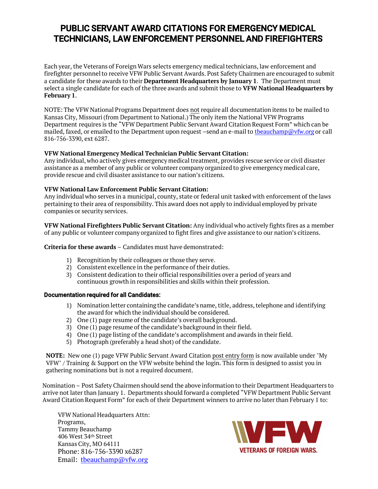# PUBLIC SERVANT AWARD CITATIONS FOR EMERGENCY MEDICAL TECHNICIANS, LAW ENFORCEMENT PERSONNEL AND FIREFIGHTERS

Each year, the Veterans of Foreign Wars selects emergency medical technicians, law enforcement and firefighter personnel to receive VFW Public Servant Awards. Post Safety Chairmen are encouraged to submit a candidate for these awards to their **Department Headquarters by January 1**. The Department must select a single candidate for each of the three awards and submit those to **VFW National Headquarters by February 1**.

NOTE: The VFW National Programs Department does not require all documentation items to be mailed to Kansas City, Missouri (from Department to National.) The only item the National VFW Programs Department requires is the "VFW Department Public Servant Award Citation Request Form" which can be mailed, faxed, or emailed to the Department upon request –send an e-mail to [tbeauchamp@vfw.org](mailto:tbeauchamp@vfw.org) or call 816-756-3390, ext 6287.

### **VFW National Emergency Medical Technician Public Servant Citation:**

Any individual, who actively gives emergency medical treatment, provides rescue service or civil disaster assistance as a member of any public or volunteer company organized to give emergency medical care, provide rescue and civil disaster assistance to our nation's citizens.

#### **VFW National Law Enforcement Public Servant Citation:**

Any individual who serves in a municipal, county, state or federal unit tasked with enforcement of the laws pertaining to their area of responsibility. This award does not apply to individual employed by private companies or security services.

**VFW National Firefighters Public Servant Citation:** Any individual who actively fights fires as a member of any public or volunteer company organized to fight fires and give assistance to our nation's citizens.

#### **Criteria for these awards** – Candidates must have demonstrated:

- 1) Recognition by their colleagues or those they serve.
- 2) Consistent excellence in the performance of their duties.
- 3) Consistent dedication to their official responsibilities over a period of years and continuous growth in responsibilities and skills within their profession.

#### Documentation required for all Candidates:

- 1) Nomination letter containing the candidate's name, title, address, telephone and identifying the award for which the individual should be considered.
- 2) One (1) page resume of the candidate's overall background.
- 3) One (1) page resume of the candidate's background in their field.
- 4) One (1) page listing of the candidate's accomplishment and awards in their field.
- 5) Photograph (preferably a head shot) of the candidate.

**NOTE:** New one (1) page VFW Public Servant Award Citation post entry form is now available under "My VFW" / Training & Support on the VFW website behind the login. This form is designed to assist you in gathering nominations but is not a required document.

Nomination – Post Safety Chairmen should send the above information to their Department Headquarters to arrive not later than January 1. Departments should forward a completed "VFW Department Public Servant Award Citation Request Form" for each of their Department winners to arrive no later than February 1 to:

VFW National Headquarters Attn: Programs, Tammy Beauchamp 406 West 34th Street Kansas City, MO 64111 Phone: 816-756-3390 x6287 Email: [tbeauchamp@vfw.org](mailto:tbeauchamp@vfw.org)